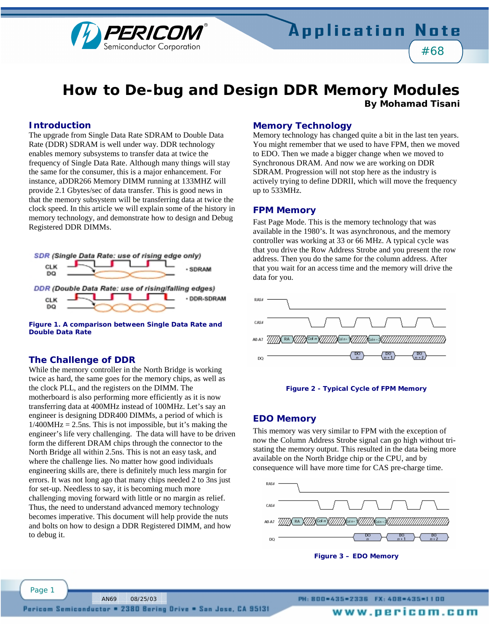

# **How to De-bug and Design DDR Memory Modules By Mohamad Tisani**

#### **Introduction**

The upgrade from Single Data Rate SDRAM to Double Data Rate (DDR) SDRAM is well under way. DDR technology enables memory subsystems to transfer data at twice the frequency of Single Data Rate. Although many things will stay the same for the consumer, this is a major enhancement. For instance, aDDR266 Memory DIMM running at 133MHZ will provide 2.1 Gbytes/sec of data transfer. This is good news in that the memory subsystem will be transferring data at twice the clock speed. In this article we will explain some of the history in memory technology, and demonstrate how to design and Debug Registered DDR DIMMs.



**Figure 1. A comparison between Single Data Rate and Double Data Rate** 

#### **The Challenge of DDR**

While the memory controller in the North Bridge is working twice as hard, the same goes for the memory chips, as well as the clock PLL, and the registers on the DIMM. The motherboard is also performing more efficiently as it is now transferring data at 400MHz instead of 100MHz. Let's say an engineer is designing DDR400 DIMMs, a period of which is  $1/400MHz = 2.5$ ns. This is not impossible, but it's making the engineer's life very challenging. The data will have to be driven form the different DRAM chips through the connector to the North Bridge all within 2.5ns. This is not an easy task, and where the challenge lies. No matter how good individuals engineering skills are, there is definitely much less margin for errors. It was not long ago that many chips needed 2 to 3ns just for set-up. Needless to say, it is becoming much more challenging moving forward with little or no margin as relief. Thus, the need to understand advanced memory technology becomes imperative. This document will help provide the nuts and bolts on how to design a DDR Registered DIMM, and how to debug it.

#### **Memory Technology**

Memory technology has changed quite a bit in the last ten years. You might remember that we used to have FPM, then we moved to EDO. Then we made a bigger change when we moved to Synchronous DRAM. And now we are working on DDR SDRAM. Progression will not stop here as the industry is actively trying to define DDRII, which will move the frequency up to 533MHz.

#### **FPM Memory**

Fast Page Mode. This is the memory technology that was available in the 1980's. It was asynchronous, and the memory controller was working at 33 or 66 MHz. A typical cycle was that you drive the Row Address Strobe and you present the row address. Then you do the same for the column address. After that you wait for an access time and the memory will drive the data for you.





#### **EDO Memory**

This memory was very similar to FPM with the exception of now the Column Address Strobe signal can go high without tristating the memory output. This resulted in the data being more available on the North Bridge chip or the CPU, and by consequence will have more time for CAS pre-charge time.





Page 1

AN69 08/25/03

www.oericom.com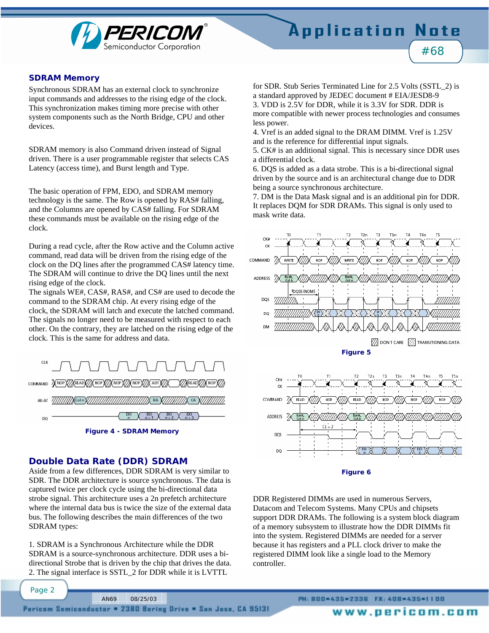

#### **SDRAM Memory**

Synchronous SDRAM has an external clock to synchronize input commands and addresses to the rising edge of the clock. This synchronization makes timing more precise with other system components such as the North Bridge, CPU and other devices.

SDRAM memory is also Command driven instead of Signal driven. There is a user programmable register that selects CAS Latency (access time), and Burst length and Type.

The basic operation of FPM, EDO, and SDRAM memory technology is the same. The Row is opened by RAS# falling, and the Columns are opened by CAS# falling. For SDRAM these commands must be available on the rising edge of the clock.

During a read cycle, after the Row active and the Column active command, read data will be driven from the rising edge of the clock on the DQ lines after the programmed CAS# latency time. The SDRAM will continue to drive the DQ lines until the next rising edge of the clock.

The signals WE#, CAS#, RAS#, and CS# are used to decode the command to the SDRAM chip. At every rising edge of the clock, the SDRAM will latch and execute the latched command. The signals no longer need to be measured with respect to each other. On the contrary, they are latched on the rising edge of the clock. This is the same for address and data.



## **Double Data Rate (DDR) SDRAM**

Page 2

Aside from a few differences, DDR SDRAM is very similar to SDR. The DDR architecture is source synchronous. The data is captured twice per clock cycle using the bi-directional data strobe signal. This architecture uses a 2n prefetch architecture where the internal data bus is twice the size of the external data bus. The following describes the main differences of the two SDRAM types:

1. SDRAM is a Synchronous Architecture while the DDR SDRAM is a source-synchronous architecture. DDR uses a bidirectional Strobe that is driven by the chip that drives the data. 2. The signal interface is SSTL\_2 for DDR while it is LVTTL

for SDR. Stub Series Terminated Line for 2.5 Volts (SSTL\_2) is a standard approved by JEDEC document # EIA/JESD8-9 3. VDD is 2.5V for DDR, while it is 3.3V for SDR. DDR is more compatible with newer process technologies and consumes less power.

4. Vref is an added signal to the DRAM DIMM. Vref is 1.25V and is the reference for differential input signals.

5. CK# is an additional signal. This is necessary since DDR uses a differential clock.

6. DQS is added as a data strobe. This is a bi-directional signal driven by the source and is an architectural change due to DDR being a source synchronous architecture.

7. DM is the Data Mask signal and is an additional pin for DDR. It replaces DQM for SDR DRAMs. This signal is only used to mask write data.





DDR Registered DIMMs are used in numerous Servers, Datacom and Telecom Systems. Many CPUs and chipsets support DDR DRAMs. The following is a system block diagram of a memory subsystem to illustrate how the DDR DIMMs fit into the system. Registered DIMMs are needed for a server because it has registers and a PLL clock driver to make the registered DIMM look like a single load to the Memory controller.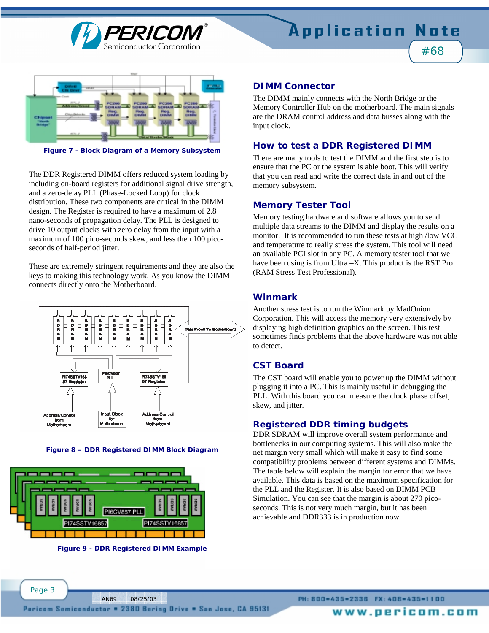



**Figure 7 - Block Diagram of a Memory Subsystem** 

The DDR Registered DIMM offers reduced system loading by including on-board registers for additional signal drive strength, and a zero-delay PLL (Phase-Locked Loop) for clock distribution. These two components are critical in the DIMM design. The Register is required to have a maximum of 2.8 nano-seconds of propagation delay. The PLL is designed to drive 10 output clocks with zero delay from the input with a maximum of 100 pico-seconds skew, and less then 100 picoseconds of half-period jitter.

These are extremely stringent requirements and they are also the keys to making this technology work. As you know the DIMM connects directly onto the Motherboard.



**Figure 8 – DDR Registered DIMM Block Diagram** 



**Figure 9 - DDR Registered DIMM Example** 

AN69 08/25/03

#### **DIMM Connector**

The DIMM mainly connects with the North Bridge or the Memory Controller Hub on the motherboard. The main signals are the DRAM control address and data busses along with the input clock.

#### **How to test a DDR Registered DIMM**

There are many tools to test the DIMM and the first step is to ensure that the PC or the system is able boot. This will verify that you can read and write the correct data in and out of the memory subsystem.

#### **Memory Tester Tool**

Memory testing hardware and software allows you to send multiple data streams to the DIMM and display the results on a monitor. It is recommended to run these tests at high /low VCC and temperature to really stress the system. This tool will need an available PCI slot in any PC. A memory tester tool that we have been using is from Ultra –X. This product is the RST Pro (RAM Stress Test Professional).

#### **Winmark**

Another stress test is to run the Winmark by MadOnion Corporation. This will access the memory very extensively by displaying high definition graphics on the screen. This test sometimes finds problems that the above hardware was not able to detect.

## **CST Board**

The CST board will enable you to power up the DIMM without plugging it into a PC. This is mainly useful in debugging the PLL. With this board you can measure the clock phase offset, skew, and jitter.

#### **Registered DDR timing budgets**

DDR SDRAM will improve overall system performance and bottlenecks in our computing systems. This will also make the net margin very small which will make it easy to find some compatibility problems between different systems and DIMMs. The table below will explain the margin for error that we have available. This data is based on the maximum specification for the PLL and the Register. It is also based on DIMM PCB Simulation. You can see that the margin is about 270 picoseconds. This is not very much margin, but it has been achievable and DDR333 is in production now.

www.pericom.com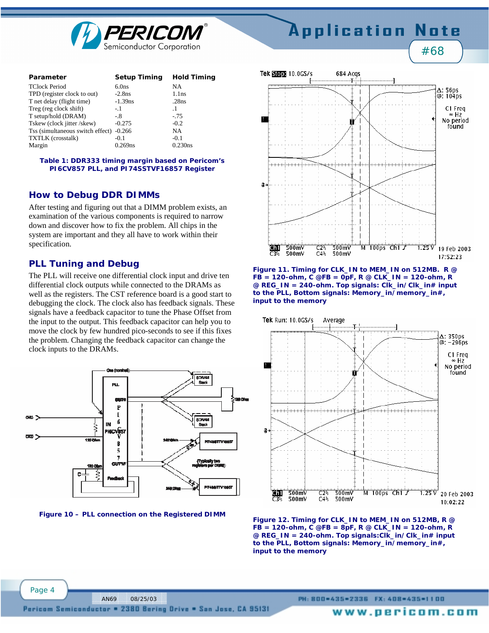

#### Parameter **Setup Timing Hold Timing** TClock Period 6.0ns NA<br>
TPD (register clock to out) -2.8ns 1 1 to TPD (register clock to out)  $-2.8$ ns 1.1ns T net delay (flight time)  $-1.39$ ns .28ns Treg (reg clock shift)  $-1$  .1 T setup/hold (DRAM)  $-8$  -.75<br>Tskew (clock iitter /skew)  $-0.275$  -0.2 Tskew (clock jitter /skew) Tss (simultaneous switch effect) -0.266 NA TXTLK (crosstalk)  $-0.1$  -0.1  $-0.1$  -0.230ns Margin

#### **Table 1: DDR333 timing margin based on Pericom's PI6CV857 PLL, and PI74SSTVF16857 Register**

# **How to Debug DDR DIMMs**

After testing and figuring out that a DIMM problem exists, an examination of the various components is required to narrow down and discover how to fix the problem. All chips in the system are important and they all have to work within their specification.

# **PLL Tuning and Debug**

The PLL will receive one differential clock input and drive ten differential clock outputs while connected to the DRAMs as well as the registers. The CST reference board is a good start to debugging the clock. The clock also has feedback signals. These signals have a feedback capacitor to tune the Phase Offset from the input to the output. This feedback capacitor can help you to move the clock by few hundred pico-seconds to see if this fixes the problem. Changing the feedback capacitor can change the clock inputs to the DRAMs.



**Figure 10 – PLL connection on the Registered DIMM** 

AN69 08/25/03



Application Note

#68





**Figure 12. Timing for CLK\_IN to MEM\_IN on 512MB, R @ FB = 120-ohm, C @FB = 8pF, R @ CLK\_IN = 120-ohm, R @ REG\_IN = 240-ohm. Top signals:Clk\_in/Clk\_in# input to the PLL, Bottom signals: Memory\_in/memory\_in#, input to the memory** 

Page 4

PH: 800=435=2336 FX: 408=435=1100

Pericom Semiconductor = 2380 Bering Drive = San Jose, CA 95131

www.pericom.com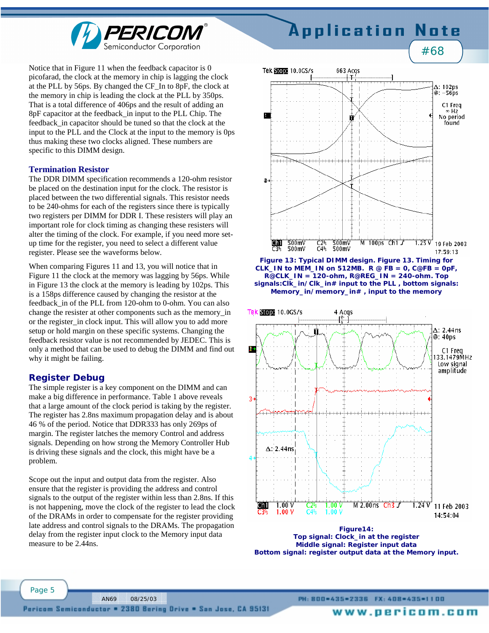

#### Notice that in Figure 11 when the feedback capacitor is 0 picofarad, the clock at the memory in chip is lagging the clock at the PLL by 56ps. By changed the CF\_In to 8pF, the clock at the memory in chip is leading the clock at the PLL by 350ps. That is a total difference of 406ps and the result of adding an 8pF capacitor at the feedback\_in input to the PLL Chip. The feedback\_in capacitor should be tuned so that the clock at the input to the PLL and the Clock at the input to the memory is 0ps thus making these two clocks aligned. These numbers are specific to this DIMM design.

#### **Termination Resistor**

The DDR DIMM specification recommends a 120-ohm resistor be placed on the destination input for the clock. The resistor is placed between the two differential signals. This resistor needs to be 240-ohms for each of the registers since there is typically two registers per DIMM for DDR I. These resisters will play an important role for clock timing as changing these resisters will alter the timing of the clock. For example, if you need more setup time for the register, you need to select a different value register. Please see the waveforms below.

When comparing Figures 11 and 13, you will notice that in Figure 11 the clock at the memory was lagging by 56ps. While in Figure 13 the clock at the memory is leading by 102ps. This is a 158ps difference caused by changing the resistor at the feedback\_in of the PLL from 120-ohm to 0-ohm. You can also change the resister at other components such as the memory\_in or the register in clock input. This will allow you to add more setup or hold margin on these specific systems. Changing the feedback resistor value is not recommended by JEDEC. This is only a method that can be used to debug the DIMM and find out why it might be failing.

#### **Register Debug**

The simple register is a key component on the DIMM and can make a big difference in performance. Table 1 above reveals that a large amount of the clock period is taking by the register. The register has 2.8ns maximum propagation delay and is about 46 % of the period. Notice that DDR333 has only 269ps of margin. The register latches the memory Control and address signals. Depending on how strong the Memory Controller Hub is driving these signals and the clock, this might have be a problem.

Scope out the input and output data from the register. Also ensure that the register is providing the address and control signals to the output of the register within less than 2.8ns. If this is not happening, move the clock of the register to lead the clock of the DRAMs in order to compensate for the register providing late address and control signals to the DRAMs. The propagation delay from the register input clock to the Memory input data measure to be 2.44ns.



Note

**Application** 



**Figure 13: Typical DIMM design. Figure 13. Timing for**  CLK IN to MEM IN on 512MB.  $R \otimes FB = 0$ ,  $C \otimes FB = 0pF$ , **R@CLK\_IN = 120-ohm, R@REG\_IN = 240-ohm. Top signals:Clk\_in/Clk\_in# input to the PLL , bottom signals: Memory\_in/memory\_in# , input to the memory** 



**Middle signal: Register input data Bottom signal: register output data at the Memory input.** 

Page 5

PH: 800=435=2336 FX: 408=435=1100

www.pericom.com

AN69 08/25/03 Pericom Semiconductor = 2380 Bering Drive = San Jose, CA 95131